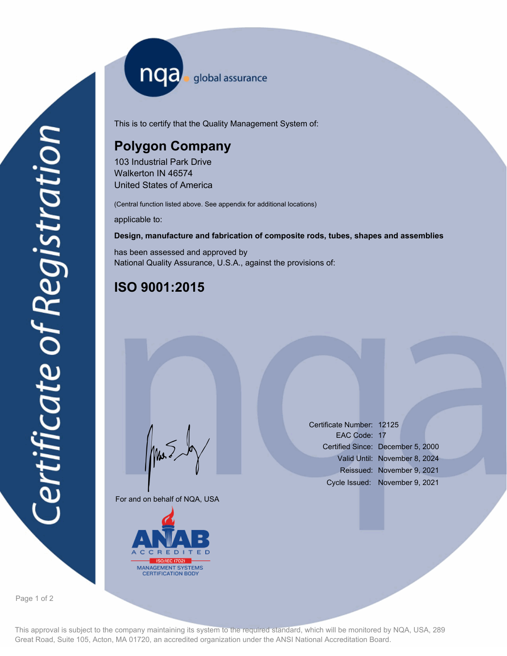nqa <sub>global assurance</sub>

This is to certify that the Quality Management System of:

# **Polygon Company**

103 Industrial Park Drive Walkerton IN 46574 United States of America

(Central function listed above. See appendix for additional locations)

applicable to:

#### **Design, manufacture and fabrication of composite rods, tubes, shapes and assemblies**

has been assessed and approved by National Quality Assurance, U.S.A., against the provisions of:

# **ISO 9001:2015**

For and on behalf of NQA, USA

Mus



Certificate Number: 12125 EAC Code: 17 Certified Since: December 5, 2000 Valid Until: November 8, 2024 Reissued: November 9, 2021 Cycle Issued: November 9, 2021

Page 1 of 2

This approval is subject to the company maintaining its system to the required standard, which will be monitored by NQA, USA, 289 Great Road, Suite 105, Acton, MA 01720, an accredited organization under the ANSI National Accreditation Board.